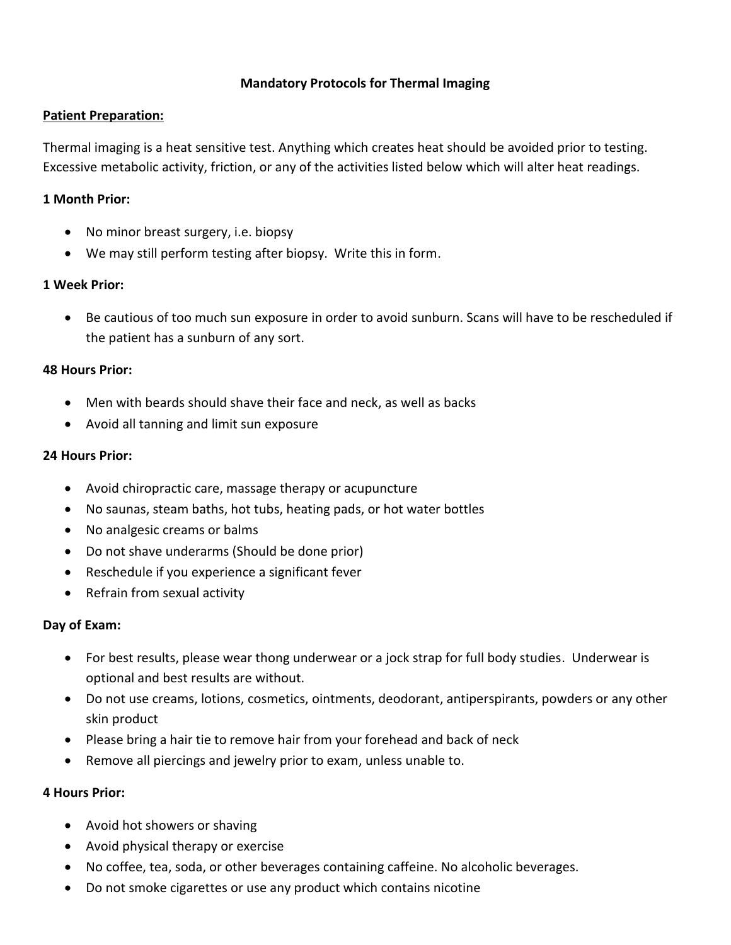## **Mandatory Protocols for Thermal Imaging**

#### **Patient Preparation:**

Thermal imaging is a heat sensitive test. Anything which creates heat should be avoided prior to testing. Excessive metabolic activity, friction, or any of the activities listed below which will alter heat readings.

### **1 Month Prior:**

- No minor breast surgery, i.e. biopsy
- We may still perform testing after biopsy. Write this in form.

### **1 Week Prior:**

 Be cautious of too much sun exposure in order to avoid sunburn. Scans will have to be rescheduled if the patient has a sunburn of any sort.

### **48 Hours Prior:**

- Men with beards should shave their face and neck, as well as backs
- Avoid all tanning and limit sun exposure

#### **24 Hours Prior:**

- Avoid chiropractic care, massage therapy or acupuncture
- No saunas, steam baths, hot tubs, heating pads, or hot water bottles
- No analgesic creams or balms
- Do not shave underarms (Should be done prior)
- Reschedule if you experience a significant fever
- Refrain from sexual activity

#### **Day of Exam:**

- For best results, please wear thong underwear or a jock strap for full body studies. Underwear is optional and best results are without.
- Do not use creams, lotions, cosmetics, ointments, deodorant, antiperspirants, powders or any other skin product
- Please bring a hair tie to remove hair from your forehead and back of neck
- Remove all piercings and jewelry prior to exam, unless unable to.

#### **4 Hours Prior:**

- Avoid hot showers or shaving
- Avoid physical therapy or exercise
- No coffee, tea, soda, or other beverages containing caffeine. No alcoholic beverages.
- Do not smoke cigarettes or use any product which contains nicotine